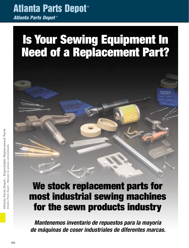### Atlanta Parts Depot ® *Atlanta Parts Depot* ®

# Is Your Sewing Equipment In Need of a Replacement Part?

## We stock replacement parts for most industrial sewing machines for the sewn products industry

*Mantenemos inventario de repuestos para la mayoría de máquinas de coser industriales de diferentes marcas.*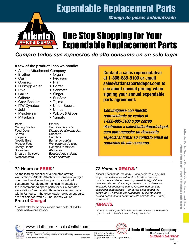## Expendable Replacement Parts

*Manejo de piezas automatizado*



## One Stop Shopping for Your Expendable Replacement Parts

Compre todos sus repuestos de alto consumo en un solo lugar

#### A few of the product lines we handle:

- 
- **Brother**
- • Cash • Consew
- - **Porter**
	-
- **Efka** • Galkin
- Gribetz
- Groz-Beckert

• Durkopp Adler

- ITW Dynatec
- • Juki
- **Meistergram**
- Mitsubishi

#### Parts:

Cutting Blades Feed Dogs Knives Loopers Needle Bars Presser Feet Rotary Hooks **Spreaders** Shears & Scissors **Synchronizers** 

**Pegasus Pfaff** 

• Organ

- 
- **Schmetz**
- **Singer**
- **SunStar**
- • Tajima
- Union Special
- **United**
- • Wilcox & Gibbs
- • Yamato

*Piezas:*  Cuchillas de corte Dientes de alimentación **Cuchillas Ganchos** Barras de agujas Prensadores de telas Ganchos rotatorios Abridores Esquiladoras y tijeras **Sincronizadores** 

• Atlanta Attachment Company **Contact a sales representative** at 1-866-885-5100 or email sales@atlantapartsdepot.com to see about special pricing when signing your annual expendable parts agreement.

> *Comuniquese con nuestro representante de ventas al 1-866-885-5100 o por correo electrónico a sales@atlantapartsdepot. com para negociar un descuento especial al firmar su contrato anual de repuestos de alto consumo.*

#### 72 Hours or FREE!\*

As the leading supplier of automated sewing workstations, Atlanta Attachment Company pledges unequaled service and support to our valued customers. We pledge to maintain inventories of the recommended spare parts for our automated workstations\* and to ship those replacement parts within 72 hours. If the expendable replacement parts are not shipped within 72 hours they will be

#### Free of Charge!

\* Contact sales for the recommended spare parts list and the model workstations covered.

#### *72 Horas o GRATIS*!\*

Atlanta Attachment Company, la compañía de vanguardia en proveer estaciones automatizadas de costura se compromete a ofrecer servicio y respaldo inigualable a nuestros clientes. Nos comprometemos a mantener en inventario los repuestos que se recomiendan para las estaciones automáticas\* y embarcar estos repuestos dentro de 72 horas de ser ordenadas. Si los repuestos no son despachados dentro de este período de 72 horas, estos serán…

#### *¡GRATÍS*!

\* Contacte Ventas para la lista de piezas de repuesto recomendada y los modelos de estaciones de trabajo cubiertos.



#### www.atlatt.com • sales@atlatt.com

**PATENTS:** Our equipment may be covered by one or more patents.<br>Please go to the following web page for an up-to-date patent list: http://atlatt.com/patents.php © 2014 Atlanta Attachment Co. 13017021514 362 Industrial Park Drive Lawrenceville, GA 30046

+1 (770) 963-7369 • FAX +1 (770) 963-7641

The Company that *Sudden Service*® built Atlanta Attachment Company

207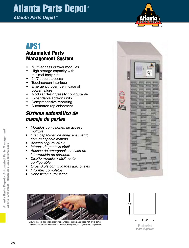# Atlanta Parts Depot ®

#### *Atlanta Parts Depot* ®



### APS1 Automated Parts Management System

- Multi-access drawer modules
- High storage capacity with
- minimal footprint • 24/7 secure access
- Touchscreen interface
- Emergency override in case of power failure
- Modular design/easily configurable
- • Expandable add-on units
- Comprehensive reporting
- • Automated replenishment

#### *Sistema automático de manejo de partes*

- • Módulos con cajones de acceso múltiple
- Gran capacidad de almacenamiento con un espacio mínimo
- Acceso seguro 24 / 7
- Interfaz de pantalla táctil
- • Acceso de emergencia en caso de interrupción de corriente
- • Diseño modular / fácilmente configurable
- **Expandible con unidades adicionales**
- • Informes completos
- • Reposición automática



Drawer-based dispensing requires NO repackaging and does not drop items *Dispensadores basados en cajones NO requiere re-empaque y no deja caer los componentes*



Footprint *vista superior*

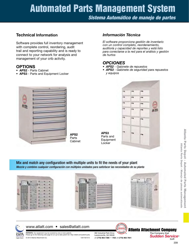# Automated Parts Management System

*Sistema Automático de manejo de partes*

#### Technical Information

Software provides full inventory management with complete control, reordering, audit trail and reporting capability and is ready to connect to your network for analysis and management of your crib activity.

#### **OPTIONS**

- APS2 Parts Cabinet
- APS3 Parts and Equipment Locker



APS2 **Parts** Cabinet

#### *Información Técnica*

El software proporciona gestión de inventario con un control completo, reordenamiento, auditoría y capacidad de reportes y está listo para conectarse a la red para el análisis y gestión de hurtos

#### *opciones*

APS3

- • *APS2*  Gabinete de repuestos
- APS3 Gabinete de seguridad para repuestos y equipos



Mix and match any configuration with multiple units to fit the needs of your plant Mezcle y combine cualquier configuración con múltiples unidades para satisfacer las necesidades de su planta











#### www.atlatt.com • sales@atlatt.com

**PATENTS:** Our equipment may be covered by one or more patents.<br>Please go to the following web page for an up-to-date patent list: http://atlatt.com/patents.php © 2014 Atlanta Attachment Co. 13017021514 362 Industrial Park Drive Lawrenceville, GA 30046 +1 (770) 963-7369 • FAX +1 (770) 963-7641

Atlanta Attachment Company

209 The Company that *Sudden Service*® built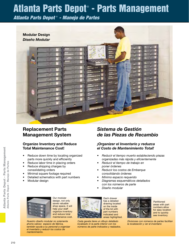## Atlanta Parts Depot ® - Parts Management

*Atlanta Parts Depot* ®  *- Manejo de Partes*



#### Replacement Parts Management System

#### Organize Inventory and Reduce Total Maintenance Cost!

- Reduce down time by locating organized parts more quickly and efficiently
- Reduce labor time in placing orders
- Reduce shipping charges by consolidating orders
- Minimal square footage required
- Detailed schematics with part numbers
- Modular design

#### *Sistema de Gestión de las Piezas de Recambio*

#### *¡Organizer el Inventario y reduzca*  el Costo de Mantenimiento Total!

- Reducir el tiempo muerto estableciendo piezas organizadas más rápida y eficientemente
- Reducir el tiempo de trabajo en poner órdenes
- Reducir los costos de Embarque consolidando órdenes
- Mínimo espacio requerido
- Diagramas esquemáticos detallados con los números de parte
- Diseño modular

Each drawer has a detailed drawing located on the inside



mantenimiento.

el inventario y reducir los costos de

Our modular design, not only saves valuable shop space, it will help your staff organize inventory and reduce total maintenance cost.

Nuestro diseño modular no solamente ahorra valioso espacio de fábrica, también ayuda a su personal a organizar números de parte indicados y realzados.



of the lid with part numbers indicated and areas highlighted. Cada gaveta tiene un dibujo detallado localizado in la parte interior con los



**Partitioned** areas with part numbers allow for easy location and to quickly see inventory.

Divisiones con números de partes facilitan la localización y ver el inventario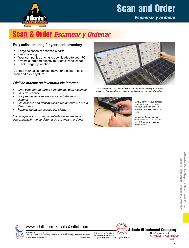### **Scan and Order**

*Escanear y ordenar*



### Scan & Order *Escanear y Ordenar*

#### Easy online ordering for your parts inventory

- • Large selection of scannable parts
- Easy ordering
- Your companies pricing is downloaded to your PC
- • Orders submitted directly to Atlanta Parts Depot
- Track usage by location

Contact your sales representative for a custom built scan and order system

#### *Fácil de ordenar su inventario via internet*

- Gran cantidad de partes con códigos para escanear
- Fácil de ordenar
- Los precios para su empresa son bajados a su sistema
- Los órdenes son transmitidas directamente a Atlanta Parts Depot
- Reporte de partes usadas por planta

Comuníquese con su representante de ventas para personalizacíon de su sistema de escanear y ordenar



Scan the barcode associated with the item you are needing to re-order Escanee el codigo debrra asociado con las partes que necesita ordenar



Simply connect your barcode scanner to your computer via your USB port and it is uploaded and sent to APD for order

Simplemente conecte su escaneader asu computador via USB para transmitir su orden a APD



#### www.atlatt.com • sales@atlatt.com





+1 (770) 963-7369 • FAX +1 (770) 963-7641

Atlanta Attachment Company

The Company that *Sudden Service*® built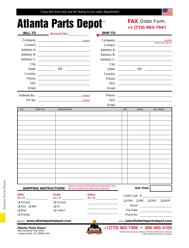Copy this form and use for faxing to our sales department.

# Atlanta Parts Depot<sup>®</sup> FAX Order Form

|                                                                                        | BILL TO <b>Account No:</b>                |                                               | <b>SHIP TO</b>                                       |                                                                                                              |                  |                                                                                                                      |
|----------------------------------------------------------------------------------------|-------------------------------------------|-----------------------------------------------|------------------------------------------------------|--------------------------------------------------------------------------------------------------------------|------------------|----------------------------------------------------------------------------------------------------------------------|
|                                                                                        |                                           | <b>REQUIRED</b>                               |                                                      |                                                                                                              |                  | <b>REQUIRED:</b>                                                                                                     |
|                                                                                        |                                           |                                               |                                                      |                                                                                                              |                  | If different than "BILL TO"                                                                                          |
|                                                                                        |                                           |                                               |                                                      |                                                                                                              |                  |                                                                                                                      |
|                                                                                        |                                           |                                               |                                                      |                                                                                                              |                  |                                                                                                                      |
|                                                                                        |                                           |                                               |                                                      |                                                                                                              |                  |                                                                                                                      |
|                                                                                        | City:                                     |                                               |                                                      |                                                                                                              |                  |                                                                                                                      |
|                                                                                        | State: _____________ ZIP: _______________ |                                               |                                                      |                                                                                                              |                  |                                                                                                                      |
|                                                                                        |                                           |                                               |                                                      |                                                                                                              |                  |                                                                                                                      |
|                                                                                        |                                           |                                               |                                                      |                                                                                                              |                  |                                                                                                                      |
|                                                                                        |                                           |                                               |                                                      |                                                                                                              |                  |                                                                                                                      |
| Email:                                                                                 |                                           |                                               | Email:                                               |                                                                                                              |                  |                                                                                                                      |
|                                                                                        |                                           | <b>REQUIRED</b>                               |                                                      |                                                                                                              |                  |                                                                                                                      |
|                                                                                        |                                           | <b>REQUIRED</b>                               |                                                      |                                                                                                              |                  |                                                                                                                      |
|                                                                                        |                                           |                                               | Email:                                               |                                                                                                              |                  |                                                                                                                      |
| QTY<br>PART NO.                                                                        | <b>DESCRIPTION</b>                        |                                               |                                                      | U/M                                                                                                          | <b>PRICE</b>     | <b>EXT PRICE</b>                                                                                                     |
|                                                                                        |                                           |                                               |                                                      |                                                                                                              |                  |                                                                                                                      |
|                                                                                        |                                           |                                               |                                                      |                                                                                                              |                  |                                                                                                                      |
|                                                                                        |                                           |                                               |                                                      |                                                                                                              |                  |                                                                                                                      |
|                                                                                        |                                           |                                               |                                                      |                                                                                                              |                  |                                                                                                                      |
|                                                                                        |                                           |                                               |                                                      |                                                                                                              |                  |                                                                                                                      |
|                                                                                        |                                           |                                               |                                                      |                                                                                                              |                  |                                                                                                                      |
|                                                                                        |                                           |                                               |                                                      |                                                                                                              |                  |                                                                                                                      |
|                                                                                        |                                           |                                               |                                                      |                                                                                                              |                  |                                                                                                                      |
|                                                                                        |                                           |                                               |                                                      |                                                                                                              |                  |                                                                                                                      |
|                                                                                        |                                           |                                               |                                                      |                                                                                                              |                  |                                                                                                                      |
|                                                                                        |                                           |                                               |                                                      |                                                                                                              |                  |                                                                                                                      |
|                                                                                        |                                           |                                               |                                                      |                                                                                                              |                  |                                                                                                                      |
|                                                                                        |                                           |                                               |                                                      |                                                                                                              |                  |                                                                                                                      |
|                                                                                        |                                           |                                               |                                                      |                                                                                                              |                  |                                                                                                                      |
|                                                                                        |                                           |                                               |                                                      |                                                                                                              |                  |                                                                                                                      |
| <b>SHIPPING INSTRUCTIONS</b>                                                           |                                           | will be calculated and added when applicable. | Shipping, taxes and International documentation fees |                                                                                                              | <b>Sub Total</b> |                                                                                                                      |
| UPS:                                                                                   | <b>FedX:</b>                              | Other:                                        |                                                      |                                                                                                              | Credit Card: $#$ |                                                                                                                      |
| $Acc \#$                                                                               | Acc#                                      |                                               | Acc #                                                | $\n  Q VISA\n  Q MC$<br>$\Box$ DISC $\Box$ AEXP<br>Exp Date:<br><u> 1980 - Andrea Andrew Maria (b. 1980)</u> |                  |                                                                                                                      |
| $\Box$ Ground                                                                          | $\Box$ Ground                             |                                               |                                                      |                                                                                                              |                  |                                                                                                                      |
| $\Box$ Red $\Box$ AM<br>$\Box$ Blue                                                    | $\Box$ Air<br>$\Box$ Collect              |                                               |                                                      |                                                                                                              |                  |                                                                                                                      |
| $\Box$ Orange                                                                          |                                           |                                               |                                                      |                                                                                                              | Phone No:        |                                                                                                                      |
| Website: www.atlantapartsdepot.com                                                     |                                           |                                               |                                                      |                                                                                                              |                  | email: sales@atlantapartsdepot.com                                                                                   |
|                                                                                        |                                           |                                               |                                                      |                                                                                                              |                  |                                                                                                                      |
| <b>Atlanta Parts Depot</b><br>362 Industrial Park Drive<br>Lawrenceville, GA 30046 USA |                                           |                                               | +1(770) 963-7369                                     |                                                                                                              |                  | 866-885-5100<br>Atlanta Parts Depot is a division of Atlanta Attachment Company<br>© 2014 Atlanta Attachment Company |